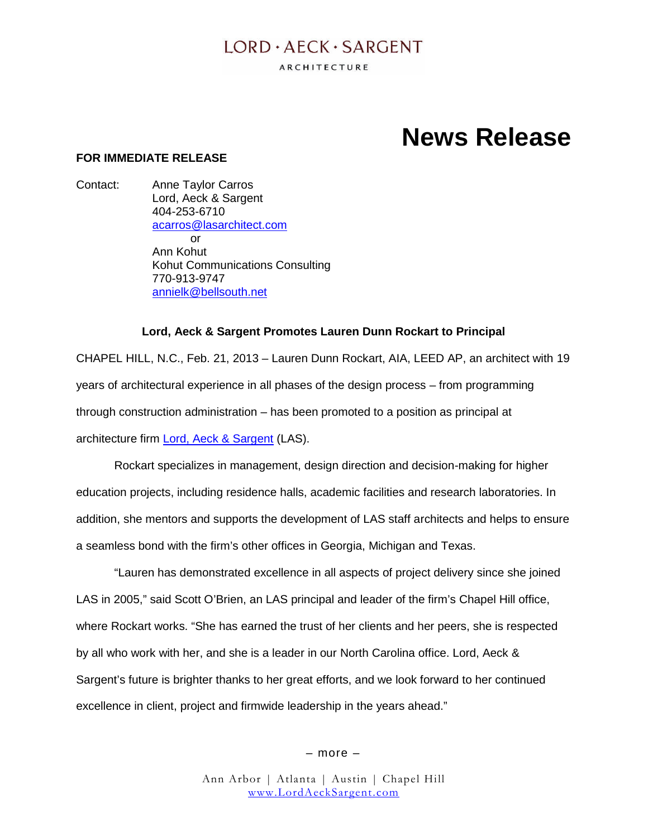## $LORD \cdot AECK \cdot SARGENT$

ARCHITECTURE

# **News Release**

#### **FOR IMMEDIATE RELEASE**

Contact: Anne Taylor Carros Lord, Aeck & Sargent 404-253-6710 acarros@lasarchitect.com or Ann Kohut Kohut Communications Consulting 770-913-9747 annielk@bellsouth.net

#### **Lord, Aeck & Sargent Promotes Lauren Dunn Rockart to Principal**

CHAPEL HILL, N.C., Feb. 21, 2013 – Lauren Dunn Rockart, AIA, LEED AP, an architect with 19 years of architectural experience in all phases of the design process – from programming through construction administration – has been promoted to a position as principal at architecture firm Lord, Aeck & Sargent (LAS).

Rockart specializes in management, design direction and decision-making for higher education projects, including residence halls, academic facilities and research laboratories. In addition, she mentors and supports the development of LAS staff architects and helps to ensure a seamless bond with the firm's other offices in Georgia, Michigan and Texas.

"Lauren has demonstrated excellence in all aspects of project delivery since she joined LAS in 2005," said Scott O'Brien, an LAS principal and leader of the firm's Chapel Hill office, where Rockart works. "She has earned the trust of her clients and her peers, she is respected by all who work with her, and she is a leader in our North Carolina office. Lord, Aeck & Sargent's future is brighter thanks to her great efforts, and we look forward to her continued excellence in client, project and firmwide leadership in the years ahead."

– more –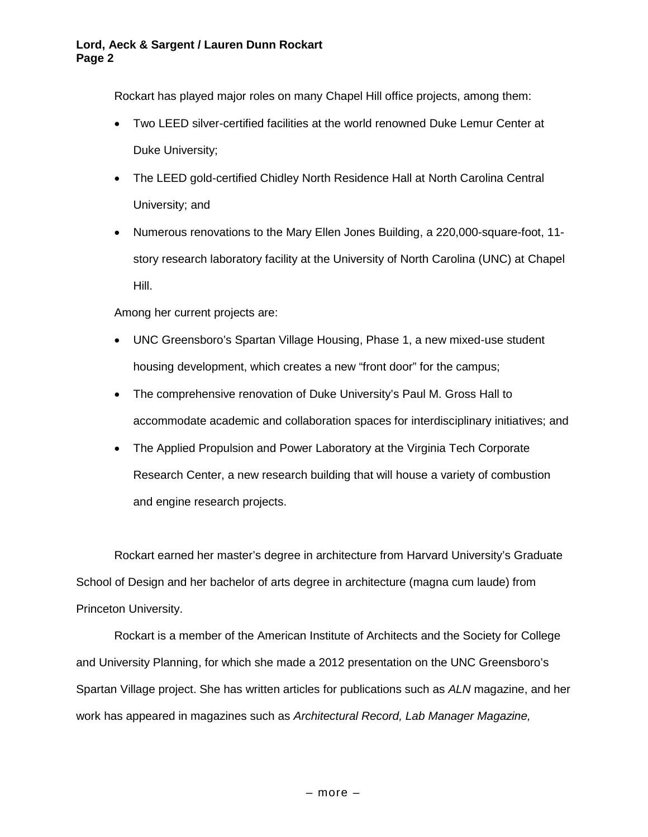Rockart has played major roles on many Chapel Hill office projects, among them:

- Two LEED silver-certified facilities at the world renowned Duke Lemur Center at Duke University;
- The LEED gold-certified Chidley North Residence Hall at North Carolina Central University; and
- Numerous renovations to the Mary Ellen Jones Building, a 220,000-square-foot, 11 story research laboratory facility at the University of North Carolina (UNC) at Chapel Hill.

Among her current projects are:

- UNC Greensboro's Spartan Village Housing, Phase 1, a new mixed-use student housing development, which creates a new "front door" for the campus;
- The comprehensive renovation of Duke University's Paul M. Gross Hall to accommodate academic and collaboration spaces for interdisciplinary initiatives; and
- The Applied Propulsion and Power Laboratory at the Virginia Tech Corporate Research Center, a new research building that will house a variety of combustion and engine research projects.

Rockart earned her master's degree in architecture from Harvard University's Graduate School of Design and her bachelor of arts degree in architecture (magna cum laude) from Princeton University.

Rockart is a member of the American Institute of Architects and the Society for College and University Planning, for which she made a 2012 presentation on the UNC Greensboro's Spartan Village project. She has written articles for publications such as *ALN* magazine, and her work has appeared in magazines such as *Architectural Record, Lab Manager Magazine,*